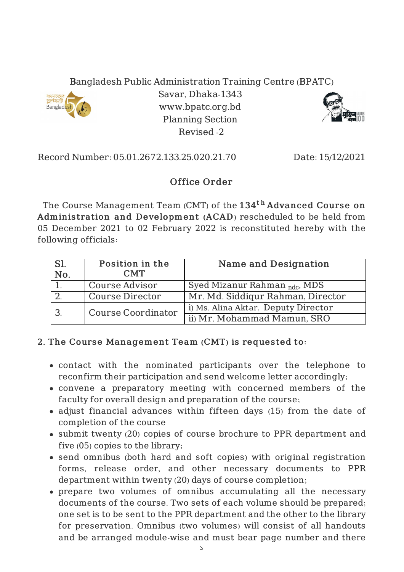



Record Number: 05.01.2672.133.25.020.21.70 Date: 15/12/2021

## Office Order

Revised -2

The Course Management Team (CMT) of the  $134^{\rm th}$   ${\rm Advanced~Course~on}$ Adminis tration and Development (ACAD) rescheduled to be held from 05 December 2021 to 02 February 2022 is reconstituted hereby with the following officials:

| Sl.<br>No. | Position in the<br><b>CMT</b> | Name and Designation                     |
|------------|-------------------------------|------------------------------------------|
|            | <b>Course Advisor</b>         | Syed Mizanur Rahman <sub>ndc</sub> , MDS |
|            | <b>Course Director</b>        | Mr. Md. Siddigur Rahman, Director        |
|            | <b>Course Coordinator</b>     | i) Ms. Alina Aktar, Deputy Director      |
|            |                               | ii) Mr. Mohammad Mamun, SRO              |

## 2. The Course Management Team (CMT) is requested to:

- contact with the nominated participants over the telephone to reconfirm their participation and send welcome letter accordingly;
- convene a preparatory meeting with concerned members of the faculty for overall design and preparation of the course;
- adjust financial advances within fifteen days (15) from the date of completion of the course
- submit twenty (20) copies of course brochure to PPR department and five (05) copies to the library;
- send omnibus (both hard and soft copies) with original registration forms, release order, and other necessary documents to PPR department within twenty (20) days of course completion;
- prepare two volumes of omnibus accumulating all the necessary documents of the course. Two sets of each volume should be prepared; one set is to be sent to the PPR department and the other to the library for preservation. Omnibus (two volumes) will consist of all handouts and be arranged module-wise and must bear page number and there